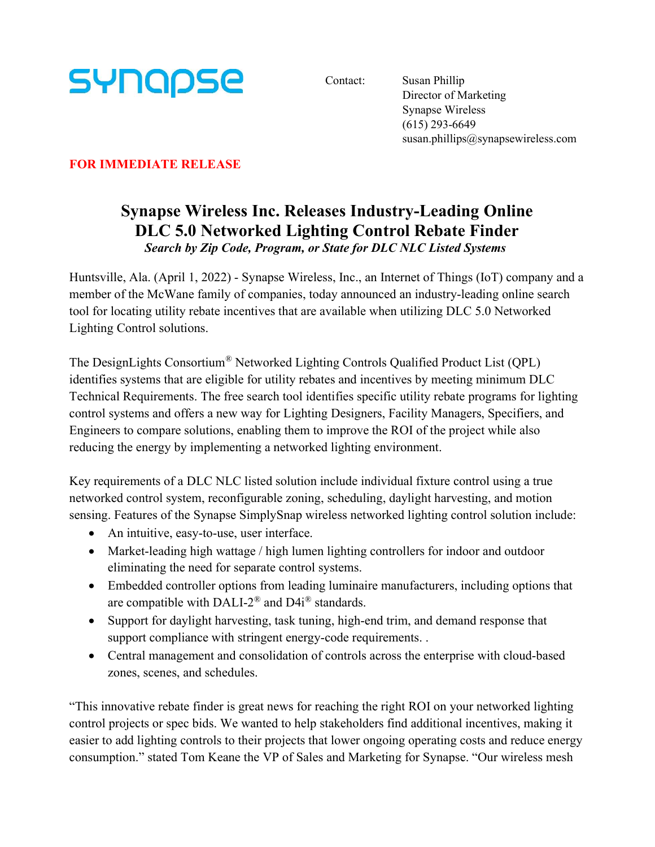

Contact: Susan Phillip Director of Marketing Synapse Wireless (615) 293-6649 susan.phillips@synapsewireless.com

## FOR IMMEDIATE RELEASE

## Synapse Wireless Inc. Releases Industry-Leading Online DLC 5.0 Networked Lighting Control Rebate Finder Search by Zip Code, Program, or State for DLC NLC Listed Systems

Huntsville, Ala. (April 1, 2022) - Synapse Wireless, Inc., an Internet of Things (IoT) company and a member of the McWane family of companies, today announced an industry-leading online search tool for locating utility rebate incentives that are available when utilizing DLC 5.0 Networked Lighting Control solutions.

The DesignLights Consortium® Networked Lighting Controls Qualified Product List (QPL) identifies systems that are eligible for utility rebates and incentives by meeting minimum DLC Technical Requirements. The free search tool identifies specific utility rebate programs for lighting control systems and offers a new way for Lighting Designers, Facility Managers, Specifiers, and Engineers to compare solutions, enabling them to improve the ROI of the project while also reducing the energy by implementing a networked lighting environment.

Key requirements of a DLC NLC listed solution include individual fixture control using a true networked control system, reconfigurable zoning, scheduling, daylight harvesting, and motion sensing. Features of the Synapse SimplySnap wireless networked lighting control solution include:

- An intuitive, easy-to-use, user interface.
- Market-leading high wattage / high lumen lighting controllers for indoor and outdoor eliminating the need for separate control systems.
- Embedded controller options from leading luminaire manufacturers, including options that are compatible with DALI-2<sup>®</sup> and D4i<sup>®</sup> standards.
- Support for daylight harvesting, task tuning, high-end trim, and demand response that support compliance with stringent energy-code requirements. .
- Central management and consolidation of controls across the enterprise with cloud-based zones, scenes, and schedules.

"This innovative rebate finder is great news for reaching the right ROI on your networked lighting control projects or spec bids. We wanted to help stakeholders find additional incentives, making it easier to add lighting controls to their projects that lower ongoing operating costs and reduce energy consumption." stated Tom Keane the VP of Sales and Marketing for Synapse. "Our wireless mesh